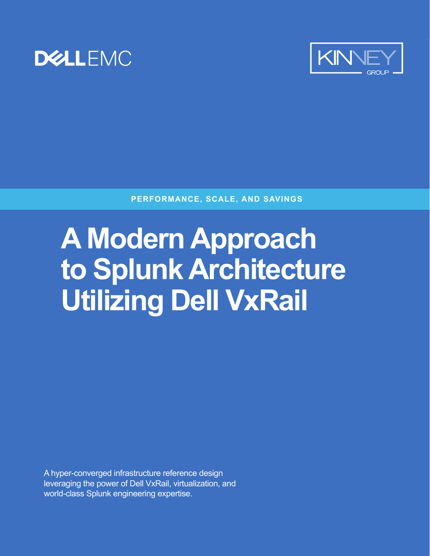



**PERFORMANCE, SCALE, AND SAVINGS**

## **A Modern Approach to Splunk Architecture Utilizing Dell VxRail**

A hyper-converged infrastructure reference design leveraging the power of Dell VxRail, virtualization, and world-class Splunk engineering expertise.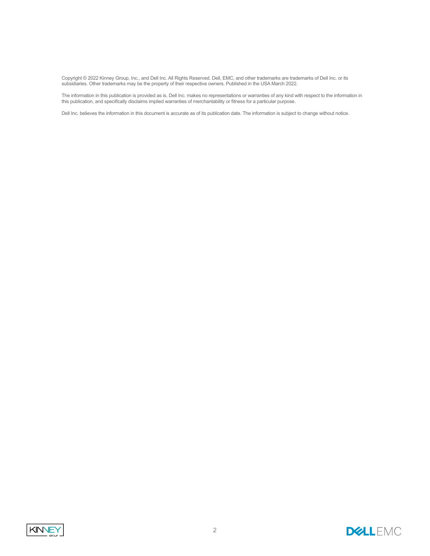Copyright © 2022 Kinney Group, Inc., and Dell Inc. All Rights Reserved. Dell, EMC, and other trademarks are trademarks of Dell Inc. or its subsidiaries. Other trademarks may be the property of their respective owners. Published in the USA March 2022.

The information in this publication is provided as is. Dell Inc. makes no representations or warranties of any kind with respect to the information in this publication, and specifically disclaims implied warranties of merchantability or fitness for a particular purpose.

Dell Inc. believes the information in this document is accurate as of its publication date. The information is subject to change without notice.



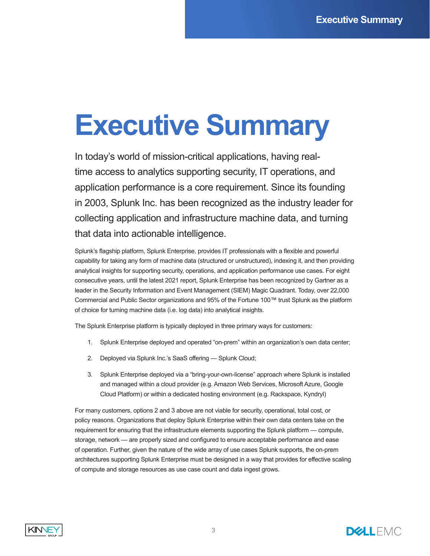## **Executive Summary**

In today's world of mission-critical applications, having realtime access to analytics supporting security, IT operations, and application performance is a core requirement. Since its founding in 2003, Splunk Inc. has been recognized as the industry leader for collecting application and infrastructure machine data, and turning that data into actionable intelligence.

Splunk's flagship platform, Splunk Enterprise, provides IT professionals with a flexible and powerful capability for taking any form of machine data (structured or unstructured), indexing it, and then providing analytical insights for supporting security, operations, and application performance use cases. For eight consecutive years, until the latest 2021 report, Splunk Enterprise has been recognized by Gartner as a leader in the Security Information and Event Management (SIEM) Magic Quadrant. Today, over 22,000 Commercial and Public Sector organizations and 95% of the Fortune 100™ trust Splunk as the platform of choice for turning machine data (i.e. log data) into analytical insights.

The Splunk Enterprise platform is typically deployed in three primary ways for customers:

- 1. Splunk Enterprise deployed and operated "on-prem" within an organization's own data center;
- 2. Deployed via Splunk Inc.'s SaaS offering Splunk Cloud;
- 3. Splunk Enterprise deployed via a "bring-your-own-license" approach where Splunk is installed and managed within a cloud provider (e.g. Amazon Web Services, Microsoft Azure, Google Cloud Platform) or within a dedicated hosting environment (e.g. Rackspace, Kyndryl)

For many customers, options 2 and 3 above are not viable for security, operational, total cost, or policy reasons. Organizations that deploy Splunk Enterprise within their own data centers take on the requirement for ensuring that the infrastructure elements supporting the Splunk platform — compute, storage, network — are properly sized and configured to ensure acceptable performance and ease of operation. Further, given the nature of the wide array of use cases Splunk supports, the on-prem architectures supporting Splunk Enterprise must be designed in a way that provides for effective scaling of compute and storage resources as use case count and data ingest grows.



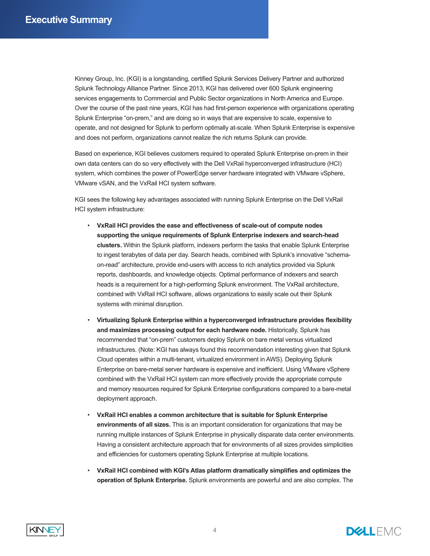Kinney Group, Inc. (KGI) is a longstanding, certified Splunk Services Delivery Partner and authorized Splunk Technology Alliance Partner. Since 2013, KGI has delivered over 600 Splunk engineering services engagements to Commercial and Public Sector organizations in North America and Europe. Over the course of the past nine years, KGI has had first-person experience with organizations operating Splunk Enterprise "on-prem," and are doing so in ways that are expensive to scale, expensive to operate, and not designed for Splunk to perform optimally at-scale. When Splunk Enterprise is expensive and does not perform, organizations cannot realize the rich returns Splunk can provide.

Based on experience, KGI believes customers required to operated Splunk Enterprise on-prem in their own data centers can do so very effectively with the Dell VxRail hyperconverged infrastructure (HCI) system, which combines the power of PowerEdge server hardware integrated with VMware vSphere, VMware vSAN, and the VxRail HCI system software.

KGI sees the following key advantages associated with running Splunk Enterprise on the Dell VxRail HCI system infrastructure:

- **VxRail HCI provides the ease and effectiveness of scale-out of compute nodes supporting the unique requirements of Splunk Enterprise indexers and search-head clusters.** Within the Splunk platform, indexers perform the tasks that enable Splunk Enterprise to ingest terabytes of data per day. Search heads, combined with Splunk's innovative "schemaon-read" architecture, provide end-users with access to rich analytics provided via Splunk reports, dashboards, and knowledge objects. Optimal performance of indexers and search heads is a requirement for a high-performing Splunk environment. The VxRail architecture, combined with VxRail HCI software, allows organizations to easily scale out their Splunk systems with minimal disruption.
- **Virtualizing Splunk Enterprise within a hyperconverged infrastructure provides flexibility and maximizes processing output for each hardware node.** Historically, Splunk has recommended that "on-prem" customers deploy Splunk on bare metal versus virtualized infrastructures. (Note: KGI has always found this recommendation interesting given that Splunk Cloud operates within a multi-tenant, virtualized environment in AWS). Deploying Splunk Enterprise on bare-metal server hardware is expensive and inefficient. Using VMware vSphere combined with the VxRail HCI system can more effectively provide the appropriate compute and memory resources required for Splunk Enterprise configurations compared to a bare-metal deployment approach.
- **VxRail HCI enables a common architecture that is suitable for Splunk Enterprise environments of all sizes.** This is an important consideration for organizations that may be running multiple instances of Splunk Enterprise in physically disparate data center environments. Having a consistent architecture approach that for environments of all sizes provides simplicities and efficiencies for customers operating Splunk Enterprise at multiple locations.
- **VxRail HCI combined with KGI's Atlas platform dramatically simplifies and optimizes the operation of Splunk Enterprise.** Splunk environments are powerful and are also complex. The



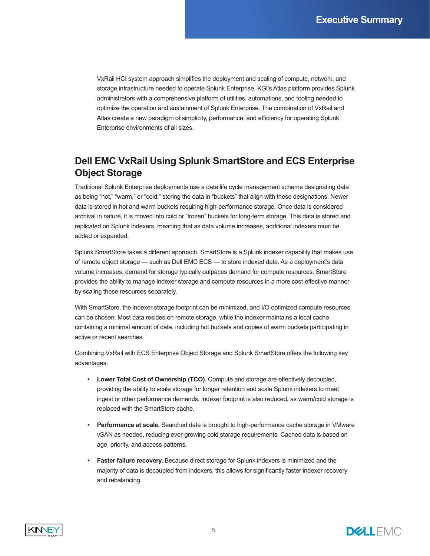VxRail HCI system approach simplifies the deployment and scaling of compute, network, and storage infrastructure needed to operate Splunk Enterprise. KGI's Atlas platform provides Splunk administrators with a comprehensive platform of utilities, automations, and tooling needed to optimize the operation and sustainment of Splunk Enterprise. The combination of VxRail and Atlas create a new paradigm of simplicity, performance, and efficiency for operating Splunk Enterprise environments of all sizes.

#### **Dell EMC VxRail Using Splunk SmartStore and ECS Enterprise Object Storage**

Traditional Splunk Enterprise deployments use a data life cycle management scheme designating data as being "hot," "warm," or "cold;" storing the data in "buckets" that align with these designations. Newer data is stored in hot and warm buckets requiring high-performance storage. Once data is considered archival in nature, it is moved into cold or "frozen" buckets for long-term storage. This data is stored and replicated on Splunk indexers, meaning that as data volume increases, additional indexers must be added or expanded.

Splunk SmartStore takes a different approach. SmartStore is a Splunk indexer capability that makes use of remote object storage — such as Dell EMC ECS — to store indexed data. As a deployment's data volume increases, demand for storage typically outpaces demand for compute resources. SmartStore provides the ability to manage indexer storage and compute resources in a more cost-effective manner by scaling these resources separately.

With SmartStore, the indexer storage footprint can be minimized, and I/O optimized compute resources can be chosen. Most data resides on remote storage, while the indexer maintains a local cache containing a minimal amount of data, including hot buckets and copies of warm buckets participating in active or recent searches.

Combining VxRail with ECS Enterprise Object Storage and Splunk SmartStore offers the following key advantages:

- **• Lower Total Cost of Ownership (TCO).** Compute and storage are effectively decoupled, providing the ability to scale storage for longer retention and scale Splunk indexers to meet ingest or other performance demands. Indexer footprint is also reduced, as warm/cold storage is replaced with the SmartStore cache.
- **• Performance at scale.** Searched data is brought to high-performance cache storage in VMware vSAN as needed, reducing ever-growing cold storage requirements. Cached data is based on age, priority, and access patterns.
- **• Faster failure recovery.** Because direct storage for Splunk indexers is minimized and the majority of data is decoupled from indexers, this allows for significantly faster indexer recovery and rebalancing.



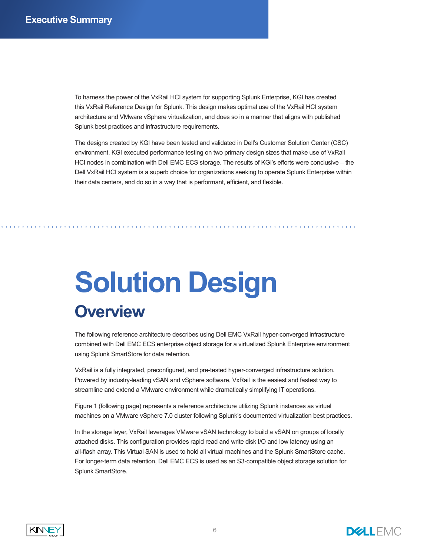To harness the power of the VxRail HCI system for supporting Splunk Enterprise, KGI has created this VxRail Reference Design for Splunk. This design makes optimal use of the VxRail HCI system architecture and VMware vSphere virtualization, and does so in a manner that aligns with published Splunk best practices and infrastructure requirements.

The designs created by KGI have been tested and validated in Dell's Customer Solution Center (CSC) environment. KGI executed performance testing on two primary design sizes that make use of VxRail HCI nodes in combination with Dell EMC ECS storage. The results of KGI's efforts were conclusive – the Dell VxRail HCI system is a superb choice for organizations seeking to operate Splunk Enterprise within their data centers, and do so in a way that is performant, efficient, and flexible.

## **Solution Design Overview**

The following reference architecture describes using Dell EMC VxRail hyper-converged infrastructure combined with Dell EMC ECS enterprise object storage for a virtualized Splunk Enterprise environment using Splunk SmartStore for data retention.

VxRail is a fully integrated, preconfigured, and pre-tested hyper-converged infrastructure solution. Powered by industry-leading vSAN and vSphere software, VxRail is the easiest and fastest way to streamline and extend a VMware environment while dramatically simplifying IT operations.

Figure 1 (following page) represents a reference architecture utilizing Splunk instances as virtual machines on a VMware vSphere 7.0 cluster following Splunk's documented virtualization best practices.

In the storage layer, VxRail leverages VMware vSAN technology to build a vSAN on groups of locally attached disks. This configuration provides rapid read and write disk I/O and low latency using an all-flash array. This Virtual SAN is used to hold all virtual machines and the Splunk SmartStore cache. For longer-term data retention, Dell EMC ECS is used as an S3-compatible object storage solution for Splunk SmartStore.



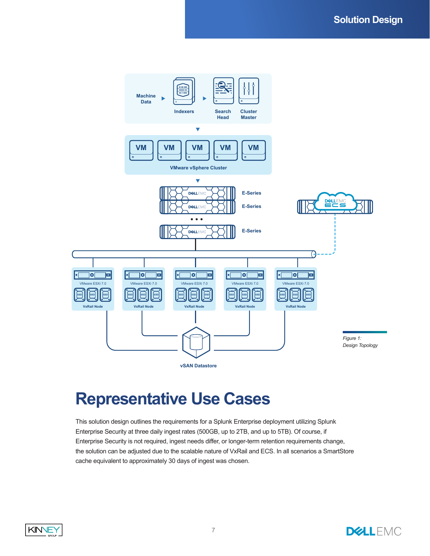

### **Representative Use Cases**

This solution design outlines the requirements for a Splunk Enterprise deployment utilizing Splunk Enterprise Security at three daily ingest rates (500GB, up to 2TB, and up to 5TB). Of course, if Enterprise Security is not required, ingest needs differ, or longer-term retention requirements change, the solution can be adjusted due to the scalable nature of VxRail and ECS. In all scenarios a SmartStore cache equivalent to approximately 30 days of ingest was chosen.



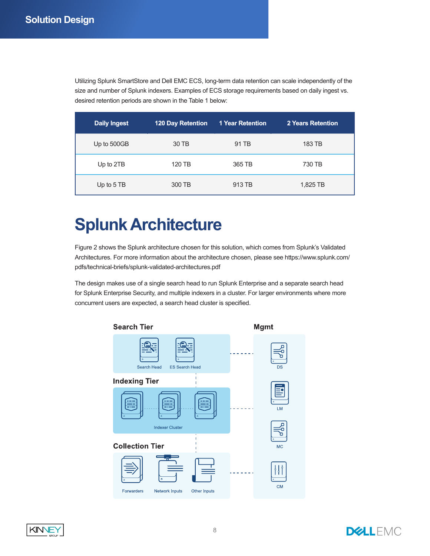Utilizing Splunk SmartStore and Dell EMC ECS, long-term data retention can scale independently of the size and number of Splunk indexers. Examples of ECS storage requirements based on daily ingest vs. desired retention periods are shown in the Table 1 below:

| <b>Daily Ingest</b> | <b>120 Day Retention</b> | <b>1 Year Retention</b> | <b>2 Years Retention</b> |
|---------------------|--------------------------|-------------------------|--------------------------|
| Up to 500GB         | 30 TB                    | 91 TB                   | 183 TB                   |
| Up to 2TB           | 120 TB                   | 365 TB                  | 730 TB                   |
| Up to 5 TB          | 300 TB                   | 913 TB                  | 1,825 TB                 |

### **Splunk Architecture**

Figure 2 shows the Splunk architecture chosen for this solution, which comes from Splunk's Validated Architectures. For more information about the architecture chosen, please see https://www.splunk.com/ pdfs/technical-briefs/splunk-validated-architectures.pdf

The design makes use of a single search head to run Splunk Enterprise and a separate search head for Splunk Enterprise Security, and multiple indexers in a cluster. For larger environments where more concurrent users are expected, a search head cluster is specified.





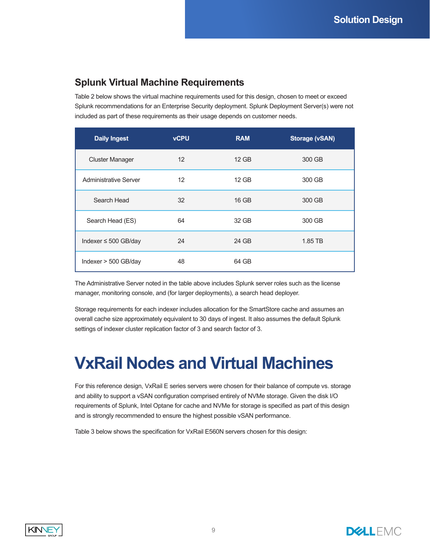#### **Splunk Virtual Machine Requirements**

Table 2 below shows the virtual machine requirements used for this design, chosen to meet or exceed Splunk recommendations for an Enterprise Security deployment. Splunk Deployment Server(s) were not included as part of these requirements as their usage depends on customer needs.

| <b>Daily Ingest</b>       | <b>vCPU</b> | <b>RAM</b> | <b>Storage (vSAN)</b> |
|---------------------------|-------------|------------|-----------------------|
| <b>Cluster Manager</b>    | 12          | 12 GB      | 300 GB                |
| Administrative Server     | 12          | 12 GB      | 300 GB                |
| Search Head               | 32          | 16 GB      | 300 GB                |
| Search Head (ES)          | 64          | 32 GB      | 300 GB                |
| Indexer $\leq$ 500 GB/day | 24          | 24 GB      | 1.85 TB               |
| Indexer $> 500$ GB/day    | 48          | 64 GB      |                       |

The Administrative Server noted in the table above includes Splunk server roles such as the license manager, monitoring console, and (for larger deployments), a search head deployer.

Storage requirements for each indexer includes allocation for the SmartStore cache and assumes an overall cache size approximately equivalent to 30 days of ingest. It also assumes the default Splunk settings of indexer cluster replication factor of 3 and search factor of 3.

### **VxRail Nodes and Virtual Machines**

For this reference design, VxRail E series servers were chosen for their balance of compute vs. storage and ability to support a vSAN configuration comprised entirely of NVMe storage. Given the disk I/O requirements of Splunk, Intel Optane for cache and NVMe for storage is specified as part of this design and is strongly recommended to ensure the highest possible vSAN performance.

Table 3 below shows the specification for VxRail E560N servers chosen for this design:



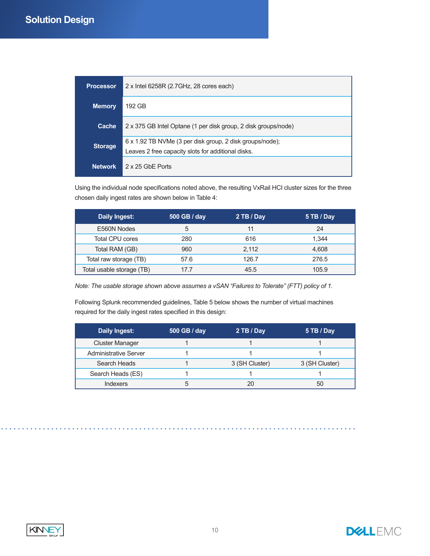| <b>Processor</b> | 2 x Intel 6258R (2.7GHz, 28 cores each)                                                                        |
|------------------|----------------------------------------------------------------------------------------------------------------|
| <b>Memory</b>    | 192 GB                                                                                                         |
| Cache            | 2 x 375 GB Intel Optane (1 per disk group, 2 disk groups/node)                                                 |
| <b>Storage</b>   | 6 x 1.92 TB NVMe (3 per disk group, 2 disk groups/node);<br>Leaves 2 free capacity slots for additional disks. |
| <b>Network</b>   | 2 x 25 GbF Ports                                                                                               |

Using the individual node specifications noted above, the resulting VxRail HCI cluster sizes for the three chosen daily ingest rates are shown below in Table 4:

| Daily Ingest:             | 500 GB / day | 2 TB / Day | 5 TB / Day |
|---------------------------|--------------|------------|------------|
| E560N Nodes               | 5            | 11         | 24         |
| Total CPU cores           | 280          | 616        | 1.344      |
| Total RAM (GB)            | 960          | 2.112      | 4,608      |
| Total raw storage (TB)    | 57.6         | 126.7      | 276.5      |
| Total usable storage (TB) | 17.7         | 45.5       | 105.9      |

*Note: The usable storage shown above assumes a vSAN "Failures to Tolerate" (FTT) policy of 1.*

Following Splunk recommended guidelines, Table 5 below shows the number of virtual machines required for the daily ingest rates specified in this design:

| Daily Ingest:          | 500 GB / day | 2 TB / Day     | 5 TB / Day     |
|------------------------|--------------|----------------|----------------|
| <b>Cluster Manager</b> |              |                |                |
| Administrative Server  |              |                |                |
| Search Heads           |              | 3 (SH Cluster) | 3 (SH Cluster) |
| Search Heads (ES)      |              |                |                |
| Indexers               |              | 20             | 50             |



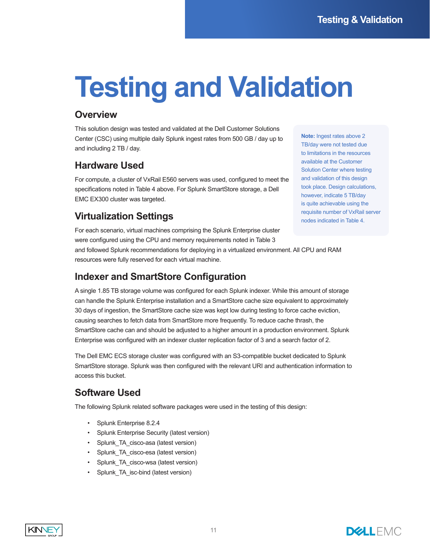# **Testing and Validation**

#### **Overview**

This solution design was tested and validated at the Dell Customer Solutions Center (CSC) using multiple daily Splunk ingest rates from 500 GB / day up to and including 2 TB / day.

#### **Hardware Used**

For compute, a cluster of VxRail E560 servers was used, configured to meet the specifications noted in Table 4 above. For Splunk SmartStore storage, a Dell EMC EX300 cluster was targeted.

#### **Virtualization Settings**

**Note:** Ingest rates above 2 TB/day were not tested due to limitations in the resources available at the Customer Solution Center where testing and validation of this design took place. Design calculations, however, indicate 5 TB/day is quite achievable using the requisite number of VxRail server nodes indicated in Table 4.

For each scenario, virtual machines comprising the Splunk Enterprise cluster were configured using the CPU and memory requirements noted in Table 3 and followed Splunk recommendations for deploying in a virtualized environment. All CPU and RAM resources were fully reserved for each virtual machine.

#### **Indexer and SmartStore Configuration**

A single 1.85 TB storage volume was configured for each Splunk indexer. While this amount of storage can handle the Splunk Enterprise installation and a SmartStore cache size equivalent to approximately 30 days of ingestion, the SmartStore cache size was kept low during testing to force cache eviction, causing searches to fetch data from SmartStore more frequently. To reduce cache thrash, the SmartStore cache can and should be adjusted to a higher amount in a production environment. Splunk Enterprise was configured with an indexer cluster replication factor of 3 and a search factor of 2.

The Dell EMC ECS storage cluster was configured with an S3-compatible bucket dedicated to Splunk SmartStore storage. Splunk was then configured with the relevant URI and authentication information to access this bucket.

#### **Software Used**

The following Splunk related software packages were used in the testing of this design:

- Splunk Enterprise 8.2.4
- Splunk Enterprise Security (latest version)
- Splunk TA cisco-asa (latest version)
- Splunk TA cisco-esa (latest version)
- Splunk TA cisco-wsa (latest version)
- Splunk TA isc-bind (latest version)



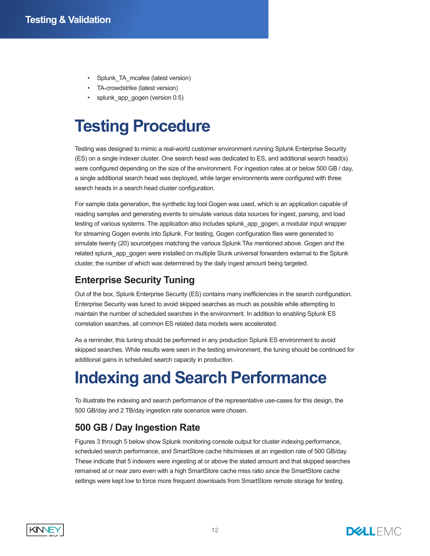- Splunk TA mcafee (latest version)
- TA-crowdstrike (latest version)
- splunk app\_gogen (version 0.5)

## **Testing Procedure**

Testing was designed to mimic a real-world customer environment running Splunk Enterprise Security (ES) on a single indexer cluster. One search head was dedicated to ES, and additional search head(s) were configured depending on the size of the environment. For ingestion rates at or below 500 GB / day, a single additional search head was deployed, while larger environments were configured with three search heads in a search head cluster configuration.

For sample data generation, the synthetic log tool Gogen was used, which is an application capable of reading samples and generating events to simulate various data sources for ingest, parsing, and load testing of various systems. The application also includes splunk app gogen, a modular input wrapper for streaming Gogen events into Splunk. For testing, Gogen configuration files were generated to simulate twenty (20) sourcetypes matching the various Splunk TAs mentioned above. Gogen and the related splunk app gogen were installed on multiple Slunk universal forwarders external to the Splunk cluster, the number of which was determined by the daily ingest amount being targeted.

#### **Enterprise Security Tuning**

Out of the box, Splunk Enterprise Security (ES) contains many inefficiencies in the search configuration. Enterprise Security was tuned to avoid skipped searches as much as possible while attempting to maintain the number of scheduled searches in the environment. In addition to enabling Splunk ES correlation searches, all common ES related data models were accelerated.

As a reminder, this tuning should be performed in any production Splunk ES environment to avoid skipped searches. While results were seen in the testing environment, the tuning should be continued for additional gains in scheduled search capacity in production.

## **Indexing and Search Performance**

To illustrate the indexing and search performance of the representative use-cases for this design, the 500 GB/day and 2 TB/day ingestion rate scenarios were chosen.

#### **500 GB / Day Ingestion Rate**

Figures 3 through 5 below show Splunk monitoring console output for cluster indexing performance, scheduled search performance, and SmartStore cache hits/misses at an ingestion rate of 500 GB/day. These indicate that 5 indexers were ingesting at or above the stated amount and that skipped searches remained at or near zero even with a high SmartStore cache miss ratio since the SmartStore cache settings were kept low to force more frequent downloads from SmartStore remote storage for testing.



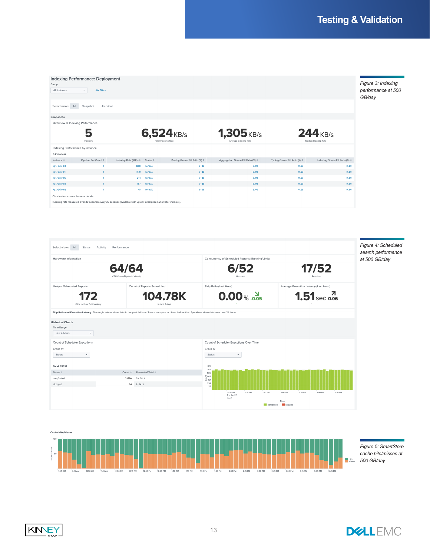| <b>Indexing Performance: Deployment</b><br>Group<br>All Indexers<br>$\psi$                                                                                 | <b>Hide Filters</b>            |                        |                          |                                          |                                              |                                         |                                 |
|------------------------------------------------------------------------------------------------------------------------------------------------------------|--------------------------------|------------------------|--------------------------|------------------------------------------|----------------------------------------------|-----------------------------------------|---------------------------------|
| A<br>Select views:<br><b>Snapshots</b>                                                                                                                     | Historical<br>Snapshot         |                        |                          |                                          |                                              |                                         |                                 |
| Overview of Indexing Performance                                                                                                                           | b                              |                        |                          | $6,524$ <sub>KB/s</sub>                  | <b>1,305</b> KB/s                            |                                         | $244$ <sub>KB/s</sub>           |
|                                                                                                                                                            | Indexers                       |                        |                          | Total Indexing Rate                      | Average Indexing Rate                        |                                         | Median Indexing Rate            |
| Indexing Performance by Instance<br>5 instances                                                                                                            |                                |                        |                          |                                          |                                              |                                         |                                 |
| Instance $\doteq$                                                                                                                                          | Pipeline Set Count $\doteqdot$ | Indexing Rate (KB/s) ≑ | Status $\Leftrightarrow$ | Parsing Queue Fill Ratio (%) $\doteqdot$ | Aggregation Queue Fill Ratio (%) $\doteqdot$ | Typing Queue Fill Ratio (%) $\doteqdot$ | Indexing Queue Fill Ratio (%) ≑ |
| $kgi-idx-04$                                                                                                                                               |                                | 4908                   | normal                   | 0.00                                     | 0.00                                         | 0.00                                    | 0.00                            |
| kgi-idx-01                                                                                                                                                 |                                |                        | 1170 normal              | 0.00                                     | 0.00                                         | 0.00                                    | 0.00                            |
| kgi-idx-05                                                                                                                                                 |                                | 244                    | normal                   | 0.00                                     | 0.00                                         | 0.00                                    | 0.00                            |
| $kgi - idx - 03$                                                                                                                                           |                                | 157                    | normal                   | 0.00                                     | 0.00                                         | 0.00                                    | 0.00                            |
| kgi-idx-02                                                                                                                                                 |                                |                        | 45 normal                | 0.00                                     | 0.00                                         | 0.00                                    | 0.00                            |
| Click instance name for more details.<br>Indexing rate measured over 30 seconds every 30 seconds (available with Splunk Enterprise 6.2 or later indexers). |                                |                        |                          |                                          |                                              |                                         |                                 |





**KINNEY** 

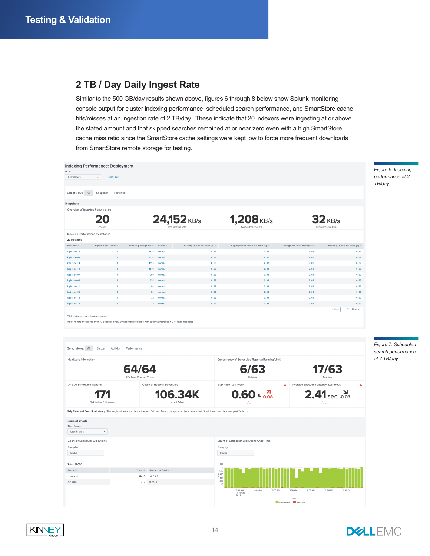#### **2 TB / Day Daily Ingest Rate**

Similar to the 500 GB/day results shown above, figures 6 through 8 below show Splunk monitoring console output for cluster indexing performance, scheduled search performance, and SmartStore cache hits/misses at an ingestion rate of 2 TB/day. These indicate that 20 indexers were ingesting at or above the stated amount and that skipped searches remained at or near zero even with a high SmartStore cache miss ratio since the SmartStore cache settings were kept low to force more frequent downloads from SmartStore remote storage for testing.



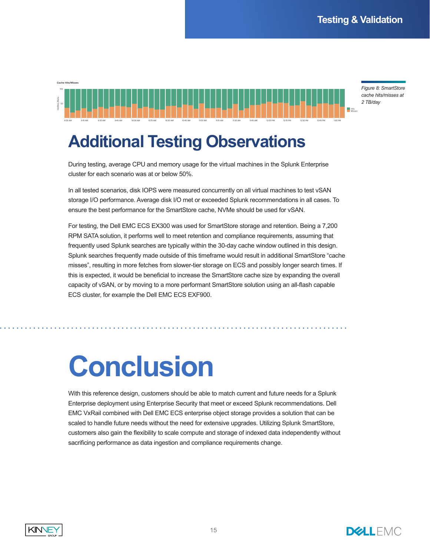*Figure 8: SmartStore cache hits/misses at 2 TB/day*

### **Additional Testing Observations**

During testing, average CPU and memory usage for the virtual machines in the Splunk Enterprise cluster for each scenario was at or below 50%.

In all tested scenarios, disk IOPS were measured concurrently on all virtual machines to test vSAN storage I/O performance. Average disk I/O met or exceeded Splunk recommendations in all cases. To ensure the best performance for the SmartStore cache, NVMe should be used for vSAN.

For testing, the Dell EMC ECS EX300 was used for SmartStore storage and retention. Being a 7,200 RPM SATA solution, it performs well to meet retention and compliance requirements, assuming that frequently used Splunk searches are typically within the 30-day cache window outlined in this design. Splunk searches frequently made outside of this timeframe would result in additional SmartStore "cache misses", resulting in more fetches from slower-tier storage on ECS and possibly longer search times. If this is expected, it would be beneficial to increase the SmartStore cache size by expanding the overall capacity of vSAN, or by moving to a more performant SmartStore solution using an all-flash capable ECS cluster, for example the Dell EMC ECS EXF900.

## **Conclusion**

With this reference design, customers should be able to match current and future needs for a Splunk Enterprise deployment using Enterprise Security that meet or exceed Splunk recommendations. Dell EMC VxRail combined with Dell EMC ECS enterprise object storage provides a solution that can be scaled to handle future needs without the need for extensive upgrades. Utilizing Splunk SmartStore, customers also gain the flexibility to scale compute and storage of indexed data independently without sacrificing performance as data ingestion and compliance requirements change.



Cache Hits/Misser